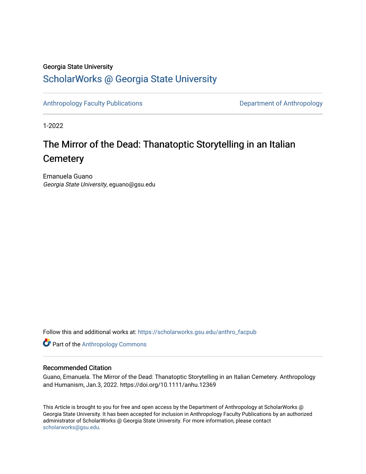#### Georgia State University

### [ScholarWorks @ Georgia State University](https://scholarworks.gsu.edu/)

[Anthropology Faculty Publications](https://scholarworks.gsu.edu/anthro_facpub) **Department of Anthropology** 

1-2022

## The Mirror of the Dead: Thanatoptic Storytelling in an Italian **Cemetery**

Emanuela Guano Georgia State University, eguano@gsu.edu

Follow this and additional works at: [https://scholarworks.gsu.edu/anthro\\_facpub](https://scholarworks.gsu.edu/anthro_facpub?utm_source=scholarworks.gsu.edu%2Fanthro_facpub%2F24&utm_medium=PDF&utm_campaign=PDFCoverPages)

**Part of the [Anthropology Commons](https://network.bepress.com/hgg/discipline/318?utm_source=scholarworks.gsu.edu%2Fanthro_facpub%2F24&utm_medium=PDF&utm_campaign=PDFCoverPages)** 

#### Recommended Citation

Guano, Emanuela. The Mirror of the Dead: Thanatoptic Storytelling in an Italian Cemetery. Anthropology and Humanism, Jan.3, 2022. https://doi.org/10.1111/anhu.12369

This Article is brought to you for free and open access by the Department of Anthropology at ScholarWorks @ Georgia State University. It has been accepted for inclusion in Anthropology Faculty Publications by an authorized administrator of ScholarWorks @ Georgia State University. For more information, please contact [scholarworks@gsu.edu.](mailto:scholarworks@gsu.edu)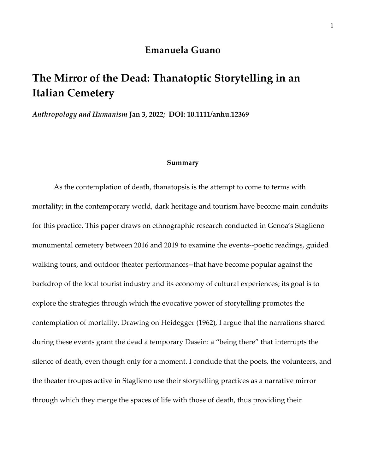### **Emanuela Guano**

## **The Mirror of the Dead: Thanatoptic Storytelling in an Italian Cemetery**

*Anthropology and Humanism* **Jan 3, 2022; DOI: 10.1111/anhu.12369**

#### **Summary**

As the contemplation of death, thanatopsis is the attempt to come to terms with mortality; in the contemporary world, dark heritage and tourism have become main conduits for this practice. This paper draws on ethnographic research conducted in Genoa's Staglieno monumental cemetery between 2016 and 2019 to examine the events--poetic readings, guided walking tours, and outdoor theater performances--that have become popular against the backdrop of the local tourist industry and its economy of cultural experiences; its goal is to explore the strategies through which the evocative power of storytelling promotes the contemplation of mortality. Drawing on Heidegger (1962), I argue that the narrations shared during these events grant the dead a temporary Dasein: a "being there" that interrupts the silence of death, even though only for a moment. I conclude that the poets, the volunteers, and the theater troupes active in Staglieno use their storytelling practices as a narrative mirror through which they merge the spaces of life with those of death, thus providing their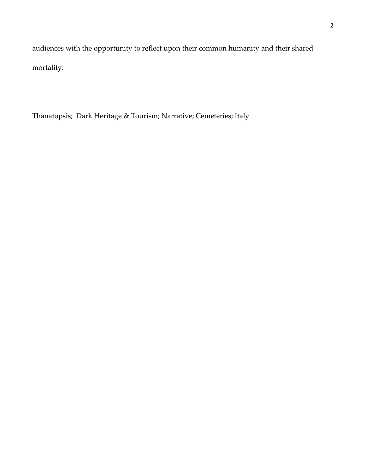audiences with the opportunity to reflect upon their common humanity and their shared mortality.

Thanatopsis; Dark Heritage & Tourism; Narrative; Cemeteries; Italy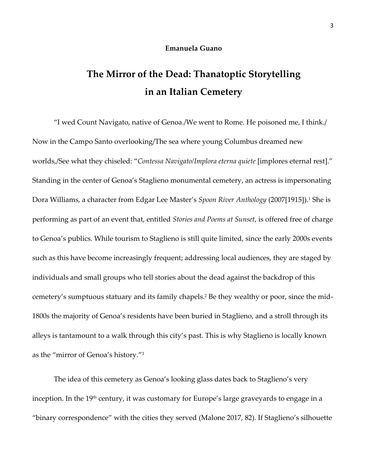#### **Emanuela Guano**

# **The Mirror of the Dead: Thanatoptic Storytelling in an Italian Cemetery**

"I wed Count Navigato, native of Genoa./We went to Rome. He poisoned me, I think./ Now in the Campo Santo overlooking/The sea where young Columbus dreamed new worlds,/See what they chiseled: "*Contessa Navigato/Implora eterna quiete* [implores eternal rest]." Standing in the center of Genoa's Staglieno monumental cemetery, an actress is impersonating Dora Williams, a character from Edgar Lee Master's *Spoon River Anthology* (2007[1915]). <sup>1</sup> She is performing as part of an event that, entitled *Stories and Poems at Sunset*, is offered free of charge to Genoa's publics. While tourism to Staglieno is still quite limited, since the early 2000s events such as this have become increasingly frequent; addressing local audiences, they are staged by individuals and small groups who tell stories about the dead against the backdrop of this cemetery's sumptuous statuary and its family chapels. <sup>2</sup> Be they wealthy or poor, since the mid-1800s the majority of Genoa's residents have been buried in Staglieno, and a stroll through its alleys is tantamount to a walk through this city's past. This is why Staglieno is locally known as the "mirror of Genoa's history."<sup>3</sup>

The idea of this cemetery as Genoa's looking glass dates back to Staglieno's very inception. In the 19<sup>th</sup> century, it was customary for Europe's large graveyards to engage in a "binary correspondence" with the cities they served (Malone 2017, 82). If Staglieno's silhouette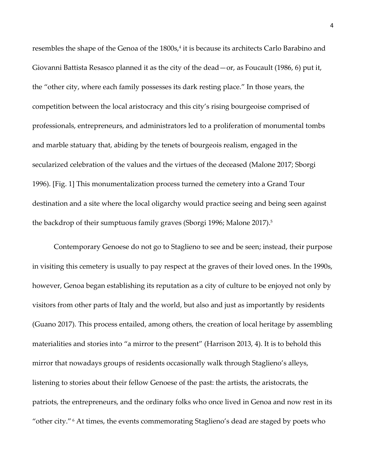resembles the shape of the Genoa of the 1800s, 4 it is because its architects Carlo Barabino and Giovanni Battista Resasco planned it as the city of the dead—or, as Foucault (1986, 6) put it, the "other city, where each family possesses its dark resting place." In those years, the competition between the local aristocracy and this city's rising bourgeoise comprised of professionals, entrepreneurs, and administrators led to a proliferation of monumental tombs and marble statuary that, abiding by the tenets of bourgeois realism, engaged in the secularized celebration of the values and the virtues of the deceased (Malone 2017; Sborgi 1996). [Fig. 1] This monumentalization process turned the cemetery into a Grand Tour destination and a site where the local oligarchy would practice seeing and being seen against the backdrop of their sumptuous family graves (Sborgi 1996; Malone 2017).<sup>5</sup>

Contemporary Genoese do not go to Staglieno to see and be seen; instead, their purpose in visiting this cemetery is usually to pay respect at the graves of their loved ones. In the 1990s, however, Genoa began establishing its reputation as a city of culture to be enjoyed not only by visitors from other parts of Italy and the world, but also and just as importantly by residents (Guano 2017). This process entailed, among others, the creation of local heritage by assembling materialities and stories into "a mirror to the present" (Harrison 2013, 4). It is to behold this mirror that nowadays groups of residents occasionally walk through Staglieno's alleys, listening to stories about their fellow Genoese of the past: the artists, the aristocrats, the patriots, the entrepreneurs, and the ordinary folks who once lived in Genoa and now rest in its "other city."<sup>6</sup> At times, the events commemorating Staglieno's dead are staged by poets who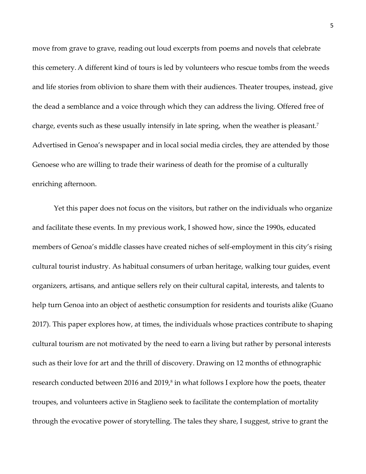move from grave to grave, reading out loud excerpts from poems and novels that celebrate this cemetery. A different kind of tours is led by volunteers who rescue tombs from the weeds and life stories from oblivion to share them with their audiences. Theater troupes, instead, give the dead a semblance and a voice through which they can address the living. Offered free of charge, events such as these usually intensify in late spring, when the weather is pleasant.<sup>7</sup> Advertised in Genoa's newspaper and in local social media circles, they are attended by those Genoese who are willing to trade their wariness of death for the promise of a culturally enriching afternoon.

Yet this paper does not focus on the visitors, but rather on the individuals who organize and facilitate these events. In my previous work, I showed how, since the 1990s, educated members of Genoa's middle classes have created niches of self-employment in this city's rising cultural tourist industry. As habitual consumers of urban heritage, walking tour guides, event organizers, artisans, and antique sellers rely on their cultural capital, interests, and talents to help turn Genoa into an object of aesthetic consumption for residents and tourists alike (Guano 2017). This paper explores how, at times, the individuals whose practices contribute to shaping cultural tourism are not motivated by the need to earn a living but rather by personal interests such as their love for art and the thrill of discovery. Drawing on 12 months of ethnographic research conducted between 2016 and 2019, $^{\rm 8}$  in what follows I explore how the poets, theater troupes, and volunteers active in Staglieno seek to facilitate the contemplation of mortality through the evocative power of storytelling. The tales they share, I suggest, strive to grant the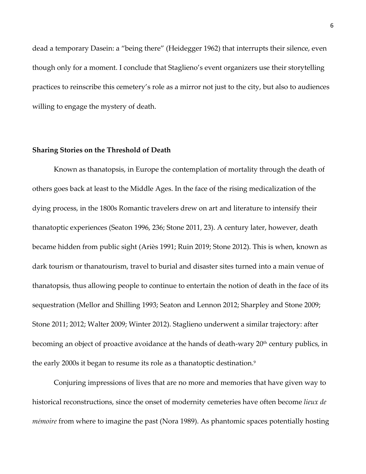dead a temporary Dasein: a "being there" (Heidegger 1962) that interrupts their silence, even though only for a moment. I conclude that Staglieno's event organizers use their storytelling practices to reinscribe this cemetery's role as a mirror not just to the city, but also to audiences willing to engage the mystery of death.

#### **Sharing Stories on the Threshold of Death**

Known as thanatopsis, in Europe the contemplation of mortality through the death of others goes back at least to the Middle Ages. In the face of the rising medicalization of the dying process, in the 1800s Romantic travelers drew on art and literature to intensify their thanatoptic experiences (Seaton 1996, 236; Stone 2011, 23). A century later, however, death became hidden from public sight (Ariѐs 1991; Ruin 2019; Stone 2012). This is when, known as dark tourism or thanatourism, travel to burial and disaster sites turned into a main venue of thanatopsis, thus allowing people to continue to entertain the notion of death in the face of its sequestration (Mellor and Shilling 1993; Seaton and Lennon 2012; Sharpley and Stone 2009; Stone 2011; 2012; Walter 2009; Winter 2012). Staglieno underwent a similar trajectory: after becoming an object of proactive avoidance at the hands of death-wary 20<sup>th</sup> century publics, in the early 2000s it began to resume its role as a thanatoptic destination.<sup>9</sup>

Conjuring impressions of lives that are no more and memories that have given way to historical reconstructions, since the onset of modernity cemeteries have often become *lieux de mémoire* from where to imagine the past (Nora 1989). As phantomic spaces potentially hosting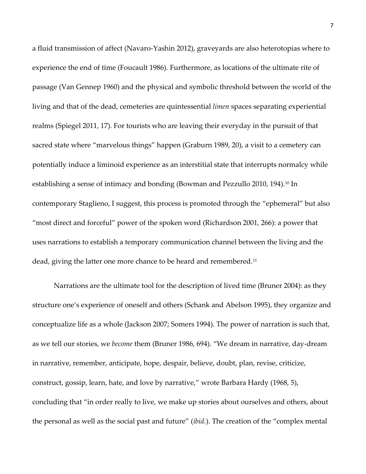a fluid transmission of affect (Navaro-Yashin 2012), graveyards are also heterotopias where to experience the end of time (Foucault 1986). Furthermore, as locations of the ultimate rite of passage (Van Gennep 1960) and the physical and symbolic threshold between the world of the living and that of the dead, cemeteries are quintessential *limen* spaces separating experiential realms (Spiegel 2011, 17). For tourists who are leaving their everyday in the pursuit of that sacred state where "marvelous things" happen (Graburn 1989, 20), a visit to a cemetery can potentially induce a liminoid experience as an interstitial state that interrupts normalcy while establishing a sense of intimacy and bonding (Bowman and Pezzullo 2010, 194).<sup>10</sup> In contemporary Staglieno, I suggest, this process is promoted through the "ephemeral" but also "most direct and forceful" power of the spoken word (Richardson 2001, 266): a power that uses narrations to establish a temporary communication channel between the living and the dead, giving the latter one more chance to be heard and remembered.<sup>11</sup>

Narrations are the ultimate tool for the description of lived time (Bruner 2004): as they structure one's experience of oneself and others (Schank and Abelson 1995), they organize and conceptualize life as a whole (Jackson 2007; Somers 1994). The power of narration is such that, as we tell our stories, we *become* them (Bruner 1986, 694). "We dream in narrative, day-dream in narrative, remember, anticipate, hope, despair, believe, doubt, plan, revise, criticize, construct, gossip, learn, hate, and love by narrative," wrote Barbara Hardy (1968, 5), concluding that "in order really to live, we make up stories about ourselves and others, about the personal as well as the social past and future" (*ibid.*). The creation of the "complex mental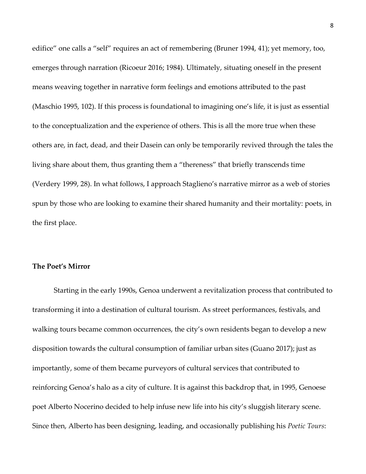edifice" one calls a "self" requires an act of remembering (Bruner 1994, 41); yet memory, too, emerges through narration (Ricoeur 2016; 1984). Ultimately, situating oneself in the present means weaving together in narrative form feelings and emotions attributed to the past (Maschio 1995, 102). If this process is foundational to imagining one's life, it is just as essential to the conceptualization and the experience of others. This is all the more true when these others are, in fact, dead, and their Dasein can only be temporarily revived through the tales the living share about them, thus granting them a "thereness" that briefly transcends time (Verdery 1999, 28). In what follows, I approach Staglieno's narrative mirror as a web of stories spun by those who are looking to examine their shared humanity and their mortality: poets, in the first place.

#### **The Poet's Mirror**

Starting in the early 1990s, Genoa underwent a revitalization process that contributed to transforming it into a destination of cultural tourism. As street performances, festivals, and walking tours became common occurrences, the city's own residents began to develop a new disposition towards the cultural consumption of familiar urban sites (Guano 2017); just as importantly, some of them became purveyors of cultural services that contributed to reinforcing Genoa's halo as a city of culture. It is against this backdrop that, in 1995, Genoese poet Alberto Nocerino decided to help infuse new life into his city's sluggish literary scene. Since then, Alberto has been designing, leading, and occasionally publishing his *Poetic Tours*: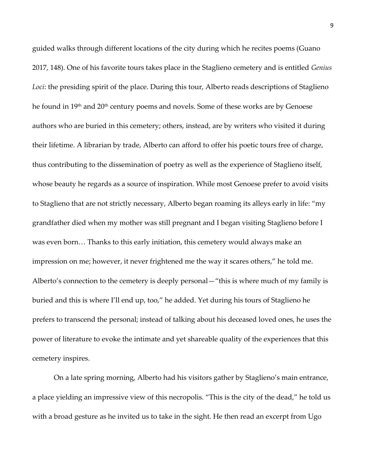guided walks through different locations of the city during which he recites poems (Guano 2017, 148). One of his favorite tours takes place in the Staglieno cemetery and is entitled *Genius Loci*: the presiding spirit of the place. During this tour, Alberto reads descriptions of Staglieno he found in 19<sup>th</sup> and 20<sup>th</sup> century poems and novels. Some of these works are by Genoese authors who are buried in this cemetery; others, instead, are by writers who visited it during their lifetime. A librarian by trade, Alberto can afford to offer his poetic tours free of charge, thus contributing to the dissemination of poetry as well as the experience of Staglieno itself, whose beauty he regards as a source of inspiration. While most Genoese prefer to avoid visits to Staglieno that are not strictly necessary, Alberto began roaming its alleys early in life: "my grandfather died when my mother was still pregnant and I began visiting Staglieno before I was even born… Thanks to this early initiation, this cemetery would always make an impression on me; however, it never frightened me the way it scares others," he told me. Alberto's connection to the cemetery is deeply personal—"this is where much of my family is buried and this is where I'll end up, too," he added. Yet during his tours of Staglieno he prefers to transcend the personal; instead of talking about his deceased loved ones, he uses the power of literature to evoke the intimate and yet shareable quality of the experiences that this cemetery inspires.

On a late spring morning, Alberto had his visitors gather by Staglieno's main entrance, a place yielding an impressive view of this necropolis. "This is the city of the dead," he told us with a broad gesture as he invited us to take in the sight. He then read an excerpt from Ugo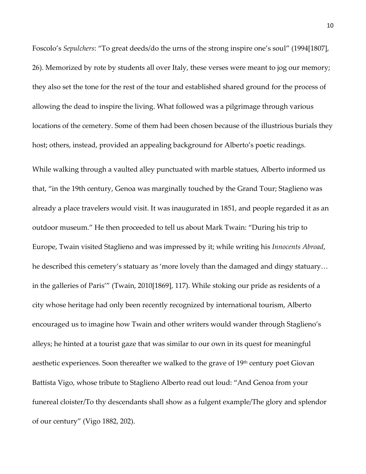Foscolo's *Sepulchers*: "To great deeds/do the urns of the strong inspire one's soul" (1994[1807], 26). Memorized by rote by students all over Italy, these verses were meant to jog our memory; they also set the tone for the rest of the tour and established shared ground for the process of allowing the dead to inspire the living. What followed was a pilgrimage through various locations of the cemetery. Some of them had been chosen because of the illustrious burials they host; others, instead, provided an appealing background for Alberto's poetic readings.

While walking through a vaulted alley punctuated with marble statues, Alberto informed us that, "in the 19th century, Genoa was marginally touched by the Grand Tour; Staglieno was already a place travelers would visit. It was inaugurated in 1851, and people regarded it as an outdoor museum." He then proceeded to tell us about Mark Twain: "During his trip to Europe, Twain visited Staglieno and was impressed by it; while writing his *Innocents Abroad*, he described this cemetery's statuary as 'more lovely than the damaged and dingy statuary… in the galleries of Paris'" (Twain, 2010[1869], 117). While stoking our pride as residents of a city whose heritage had only been recently recognized by international tourism, Alberto encouraged us to imagine how Twain and other writers would wander through Staglieno's alleys; he hinted at a tourist gaze that was similar to our own in its quest for meaningful aesthetic experiences. Soon thereafter we walked to the grave of  $19<sup>th</sup>$  century poet Giovan Battista Vigo, whose tribute to Staglieno Alberto read out loud: "And Genoa from your funereal cloister/To thy descendants shall show as a fulgent example/The glory and splendor of our century" (Vigo 1882, 202).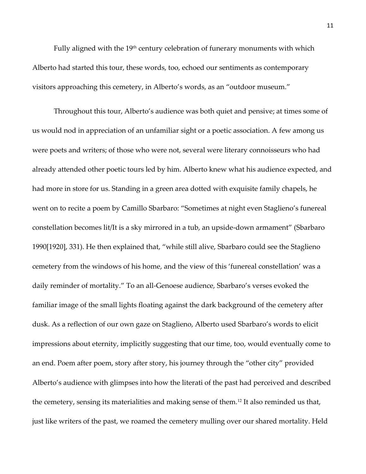Fully aligned with the  $19<sup>th</sup>$  century celebration of funerary monuments with which Alberto had started this tour, these words, too, echoed our sentiments as contemporary visitors approaching this cemetery, in Alberto's words, as an "outdoor museum."

Throughout this tour, Alberto's audience was both quiet and pensive; at times some of us would nod in appreciation of an unfamiliar sight or a poetic association. A few among us were poets and writers; of those who were not, several were literary connoisseurs who had already attended other poetic tours led by him. Alberto knew what his audience expected, and had more in store for us. Standing in a green area dotted with exquisite family chapels, he went on to recite a poem by Camillo Sbarbaro: "Sometimes at night even Staglieno's funereal constellation becomes lit/It is a sky mirrored in a tub, an upside-down armament" (Sbarbaro 1990[1920], 331). He then explained that, "while still alive, Sbarbaro could see the Staglieno cemetery from the windows of his home, and the view of this 'funereal constellation' was a daily reminder of mortality." To an all-Genoese audience, Sbarbaro's verses evoked the familiar image of the small lights floating against the dark background of the cemetery after dusk. As a reflection of our own gaze on Staglieno, Alberto used Sbarbaro's words to elicit impressions about eternity, implicitly suggesting that our time, too, would eventually come to an end. Poem after poem, story after story, his journey through the "other city" provided Alberto's audience with glimpses into how the literati of the past had perceived and described the cemetery, sensing its materialities and making sense of them.<sup>12</sup> It also reminded us that, just like writers of the past, we roamed the cemetery mulling over our shared mortality. Held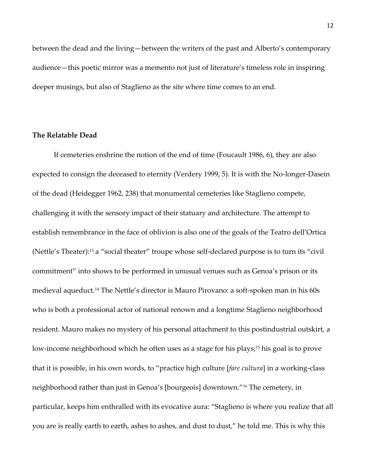between the dead and the living—between the writers of the past and Alberto's contemporary audience—this poetic mirror was a memento not just of literature's timeless role in inspiring deeper musings, but also of Staglieno as the site where time comes to an end.

#### **The Relatable Dead**

If cemeteries enshrine the notion of the end of time (Foucault 1986, 6), they are also expected to consign the deceased to eternity (Verdery 1999, 5). It is with the No-longer-Dasein of the dead (Heidegger 1962, 238) that monumental cemeteries like Staglieno compete, challenging it with the sensory impact of their statuary and architecture. The attempt to establish remembrance in the face of oblivion is also one of the goals of the Teatro dell'Ortica (Nettle's Theater):<sup>13</sup> a "social theater" troupe whose self-declared purpose is to turn its "civil commitment" into shows to be performed in unusual venues such as Genoa's prison or its medieval aqueduct.<sup>14</sup> The Nettle's director is Mauro Pirovano: a soft-spoken man in his 60s who is both a professional actor of national renown and a longtime Staglieno neighborhood resident. Mauro makes no mystery of his personal attachment to this postindustrial outskirt, a low-income neighborhood which he often uses as a stage for his plays;<sup>15</sup> his goal is to prove that it is possible, in his own words, to "practice high culture [*fare cultura*] in a working-class neighborhood rather than just in Genoa's [bourgeois] downtown."<sup>16</sup> The cemetery, in particular, keeps him enthralled with its evocative aura: "Staglieno is where you realize that all you are is really earth to earth, ashes to ashes, and dust to dust," he told me. This is why this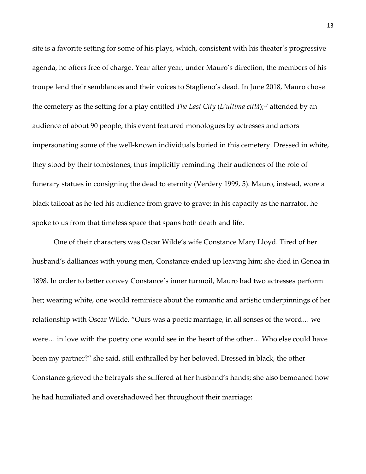site is a favorite setting for some of his plays, which, consistent with his theater's progressive agenda, he offers free of charge. Year after year, under Mauro's direction, the members of his troupe lend their semblances and their voices to Staglieno's dead. In June 2018, Mauro chose the cemetery as the setting for a play entitled *The Last City* (*L'ultima città*);<sup>17</sup> attended by an audience of about 90 people, this event featured monologues by actresses and actors impersonating some of the well-known individuals buried in this cemetery. Dressed in white, they stood by their tombstones, thus implicitly reminding their audiences of the role of funerary statues in consigning the dead to eternity (Verdery 1999, 5). Mauro, instead, wore a black tailcoat as he led his audience from grave to grave; in his capacity as the narrator, he spoke to us from that timeless space that spans both death and life.

One of their characters was Oscar Wilde's wife Constance Mary Lloyd. Tired of her husband's dalliances with young men, Constance ended up leaving him; she died in Genoa in 1898. In order to better convey Constance's inner turmoil, Mauro had two actresses perform her; wearing white, one would reminisce about the romantic and artistic underpinnings of her relationship with Oscar Wilde. "Ours was a poetic marriage, in all senses of the word… we were… in love with the poetry one would see in the heart of the other… Who else could have been my partner?" she said, still enthralled by her beloved. Dressed in black, the other Constance grieved the betrayals she suffered at her husband's hands; she also bemoaned how he had humiliated and overshadowed her throughout their marriage: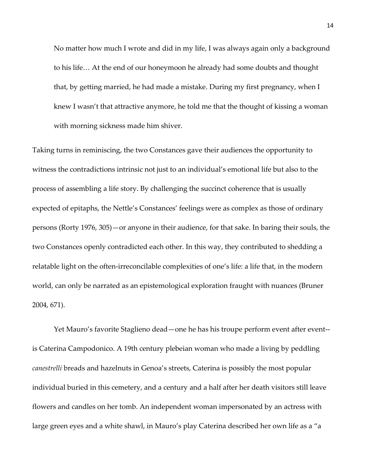No matter how much I wrote and did in my life, I was always again only a background to his life… At the end of our honeymoon he already had some doubts and thought that, by getting married, he had made a mistake. During my first pregnancy, when I knew I wasn't that attractive anymore, he told me that the thought of kissing a woman with morning sickness made him shiver.

Taking turns in reminiscing, the two Constances gave their audiences the opportunity to witness the contradictions intrinsic not just to an individual's emotional life but also to the process of assembling a life story. By challenging the succinct coherence that is usually expected of epitaphs, the Nettle's Constances' feelings were as complex as those of ordinary persons (Rorty 1976, 305)—or anyone in their audience, for that sake. In baring their souls, the two Constances openly contradicted each other. In this way, they contributed to shedding a relatable light on the often-irreconcilable complexities of one's life: a life that, in the modern world, can only be narrated as an epistemological exploration fraught with nuances (Bruner 2004, 671).

Yet Mauro's favorite Staglieno dead—one he has his troupe perform event after event- is Caterina Campodonico. A 19th century plebeian woman who made a living by peddling *canestrelli* breads and hazelnuts in Genoa's streets, Caterina is possibly the most popular individual buried in this cemetery, and a century and a half after her death visitors still leave flowers and candles on her tomb. An independent woman impersonated by an actress with large green eyes and a white shawl, in Mauro's play Caterina described her own life as a "a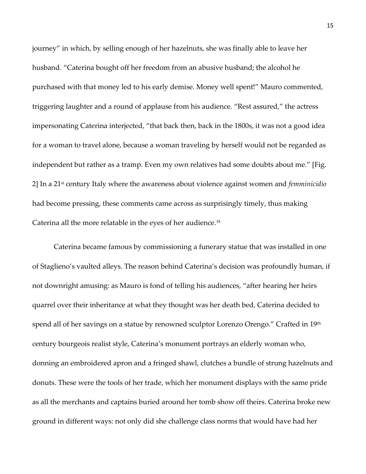journey" in which, by selling enough of her hazelnuts, she was finally able to leave her husband. "Caterina bought off her freedom from an abusive husband; the alcohol he purchased with that money led to his early demise. Money well spent!" Mauro commented, triggering laughter and a round of applause from his audience. "Rest assured," the actress impersonating Caterina interjected, "that back then, back in the 1800s, it was not a good idea for a woman to travel alone, because a woman traveling by herself would not be regarded as independent but rather as a tramp. Even my own relatives had some doubts about me." [Fig. 2] In a 21st century Italy where the awareness about violence against women and *femminicidio* had become pressing, these comments came across as surprisingly timely, thus making Caterina all the more relatable in the eyes of her audience.<sup>18</sup>

Caterina became famous by commissioning a funerary statue that was installed in one of Staglieno's vaulted alleys. The reason behind Caterina's decision was profoundly human, if not downright amusing: as Mauro is fond of telling his audiences, "after hearing her heirs quarrel over their inheritance at what they thought was her death bed, Caterina decided to spend all of her savings on a statue by renowned sculptor Lorenzo Orengo." Crafted in 19th century bourgeois realist style, Caterina's monument portrays an elderly woman who, donning an embroidered apron and a fringed shawl, clutches a bundle of strung hazelnuts and donuts. These were the tools of her trade, which her monument displays with the same pride as all the merchants and captains buried around her tomb show off theirs. Caterina broke new ground in different ways: not only did she challenge class norms that would have had her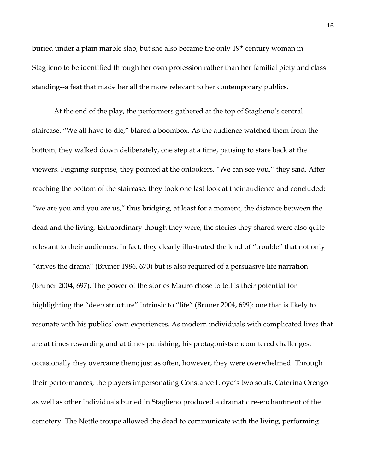buried under a plain marble slab, but she also became the only 19<sup>th</sup> century woman in Staglieno to be identified through her own profession rather than her familial piety and class standing--a feat that made her all the more relevant to her contemporary publics.

At the end of the play, the performers gathered at the top of Staglieno's central staircase. "We all have to die," blared a boombox. As the audience watched them from the bottom, they walked down deliberately, one step at a time, pausing to stare back at the viewers. Feigning surprise, they pointed at the onlookers. "We can see you," they said. After reaching the bottom of the staircase, they took one last look at their audience and concluded: "we are you and you are us," thus bridging, at least for a moment, the distance between the dead and the living. Extraordinary though they were, the stories they shared were also quite relevant to their audiences. In fact, they clearly illustrated the kind of "trouble" that not only "drives the drama" (Bruner 1986, 670) but is also required of a persuasive life narration (Bruner 2004, 697). The power of the stories Mauro chose to tell is their potential for highlighting the "deep structure" intrinsic to "life" (Bruner 2004, 699): one that is likely to resonate with his publics' own experiences. As modern individuals with complicated lives that are at times rewarding and at times punishing, his protagonists encountered challenges: occasionally they overcame them; just as often, however, they were overwhelmed. Through their performances, the players impersonating Constance Lloyd's two souls, Caterina Orengo as well as other individuals buried in Staglieno produced a dramatic re-enchantment of the cemetery. The Nettle troupe allowed the dead to communicate with the living, performing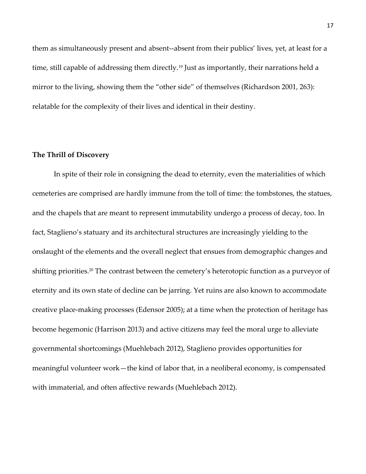them as simultaneously present and absent--absent from their publics' lives, yet, at least for a time, still capable of addressing them directly.<sup>19</sup> Just as importantly, their narrations held a mirror to the living, showing them the "other side" of themselves (Richardson 2001, 263): relatable for the complexity of their lives and identical in their destiny.

#### **The Thrill of Discovery**

In spite of their role in consigning the dead to eternity, even the materialities of which cemeteries are comprised are hardly immune from the toll of time: the tombstones, the statues, and the chapels that are meant to represent immutability undergo a process of decay, too. In fact, Staglieno's statuary and its architectural structures are increasingly yielding to the onslaught of the elements and the overall neglect that ensues from demographic changes and shifting priorities.<sup>20</sup> The contrast between the cemetery's heterotopic function as a purveyor of eternity and its own state of decline can be jarring. Yet ruins are also known to accommodate creative place-making processes (Edensor 2005); at a time when the protection of heritage has become hegemonic (Harrison 2013) and active citizens may feel the moral urge to alleviate governmental shortcomings (Muehlebach 2012), Staglieno provides opportunities for meaningful volunteer work—the kind of labor that, in a neoliberal economy, is compensated with immaterial, and often affective rewards (Muehlebach 2012).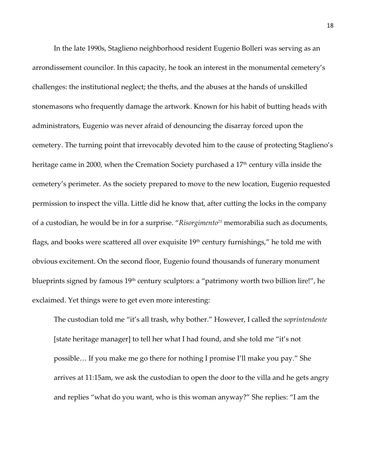In the late 1990s, Staglieno neighborhood resident Eugenio Bolleri was serving as an arrondissement councilor. In this capacity, he took an interest in the monumental cemetery's challenges: the institutional neglect; the thefts, and the abuses at the hands of unskilled stonemasons who frequently damage the artwork. Known for his habit of butting heads with administrators, Eugenio was never afraid of denouncing the disarray forced upon the cemetery. The turning point that irrevocably devoted him to the cause of protecting Staglieno's heritage came in 2000, when the Cremation Society purchased a 17<sup>th</sup> century villa inside the cemetery's perimeter. As the society prepared to move to the new location, Eugenio requested permission to inspect the villa. Little did he know that, after cutting the locks in the company of a custodian, he would be in for a surprise. "*Risorgimento<sup>21</sup>* memorabilia such as documents, flags, and books were scattered all over exquisite  $19<sup>th</sup>$  century furnishings," he told me with obvious excitement. On the second floor, Eugenio found thousands of funerary monument blueprints signed by famous 19th century sculptors: a "patrimony worth two billion lire!", he exclaimed. Yet things were to get even more interesting:

The custodian told me "it's all trash, why bother." However, I called the *soprintendente* [state heritage manager] to tell her what I had found, and she told me "it's not possible… If you make me go there for nothing I promise I'll make you pay." She arrives at 11:15am, we ask the custodian to open the door to the villa and he gets angry and replies "what do you want, who is this woman anyway?" She replies: "I am the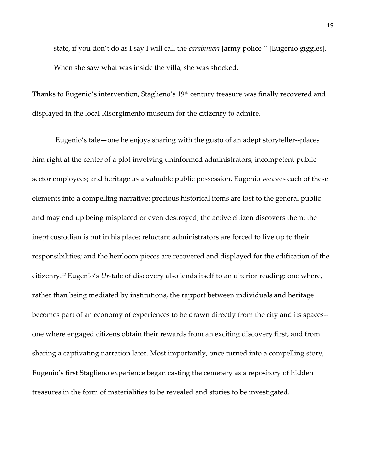state, if you don't do as I say I will call the *carabinieri* [army police]" [Eugenio giggles]. When she saw what was inside the villa, she was shocked.

Thanks to Eugenio's intervention, Staglieno's 19<sup>th</sup> century treasure was finally recovered and displayed in the local Risorgimento museum for the citizenry to admire.

Eugenio's tale—one he enjoys sharing with the gusto of an adept storyteller--places him right at the center of a plot involving uninformed administrators; incompetent public sector employees; and heritage as a valuable public possession. Eugenio weaves each of these elements into a compelling narrative: precious historical items are lost to the general public and may end up being misplaced or even destroyed; the active citizen discovers them; the inept custodian is put in his place; reluctant administrators are forced to live up to their responsibilities; and the heirloom pieces are recovered and displayed for the edification of the citizenry.<sup>22</sup> Eugenio's *Ur*-tale of discovery also lends itself to an ulterior reading: one where, rather than being mediated by institutions, the rapport between individuals and heritage becomes part of an economy of experiences to be drawn directly from the city and its spaces- one where engaged citizens obtain their rewards from an exciting discovery first, and from sharing a captivating narration later. Most importantly, once turned into a compelling story, Eugenio's first Staglieno experience began casting the cemetery as a repository of hidden treasures in the form of materialities to be revealed and stories to be investigated.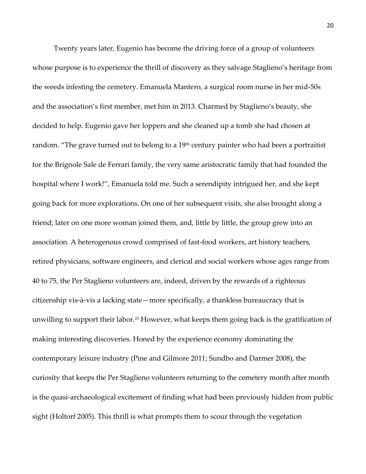Twenty years later, Eugenio has become the driving force of a group of volunteers whose purpose is to experience the thrill of discovery as they salvage Staglieno's heritage from the weeds infesting the cemetery. Emanuela Mantero, a surgical room nurse in her mid-50s and the association's first member, met him in 2013. Charmed by Staglieno's beauty, she decided to help. Eugenio gave her loppers and she cleaned up a tomb she had chosen at random. "The grave turned out to belong to a 19<sup>th</sup> century painter who had been a portraitist for the Brignole Sale de Ferrari family, the very same aristocratic family that had founded the hospital where I work!", Emanuela told me. Such a serendipity intrigued her, and she kept going back for more explorations. On one of her subsequent visits, she also brought along a friend; later on one more woman joined them, and, little by little, the group grew into an association. A heterogenous crowd comprised of fast-food workers, art history teachers, retired physicians, software engineers, and clerical and social workers whose ages range from 40 to 75, the Per Staglieno volunteers are, indeed, driven by the rewards of a righteous citizenship vis-à-vis a lacking state—more specifically, a thankless bureaucracy that is unwilling to support their labor.<sup>23</sup> However, what keeps them going back is the gratification of making interesting discoveries. Honed by the experience economy dominating the contemporary leisure industry (Pine and Gilmore 2011; Sundbo and Darmer 2008), the curiosity that keeps the Per Staglieno volunteers returning to the cemetery month after month is the quasi-archaeological excitement of finding what had been previously hidden from public sight (Holtorf 2005). This thrill is what prompts them to scour through the vegetation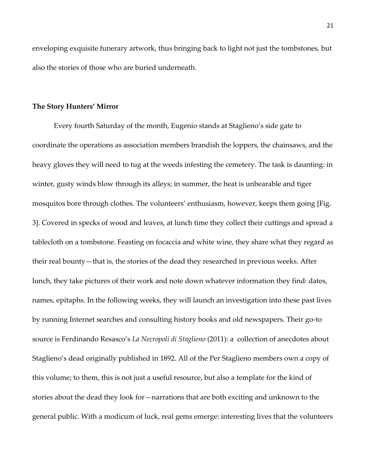enveloping exquisite funerary artwork, thus bringing back to light not just the tombstones, but also the stories of those who are buried underneath.

#### **The Story Hunters' Mirror**

Every fourth Saturday of the month, Eugenio stands at Staglieno's side gate to coordinate the operations as association members brandish the loppers, the chainsaws, and the heavy gloves they will need to tug at the weeds infesting the cemetery. The task is daunting: in winter, gusty winds blow through its alleys; in summer, the heat is unbearable and tiger mosquitos bore through clothes. The volunteers' enthusiasm, however, keeps them going [Fig. 3]. Covered in specks of wood and leaves, at lunch time they collect their cuttings and spread a tablecloth on a tombstone. Feasting on focaccia and white wine, they share what they regard as their real bounty—that is, the stories of the dead they researched in previous weeks. After lunch, they take pictures of their work and note down whatever information they find: dates, names, epitaphs. In the following weeks, they will launch an investigation into these past lives by running Internet searches and consulting history books and old newspapers. Their go-to source is Ferdinando Resasco's *La Necropoli di Staglieno* (2011): a collection of anecdotes about Staglieno's dead originally published in 1892. All of the Per Staglieno members own a copy of this volume; to them, this is not just a useful resource, but also a template for the kind of stories about the dead they look for—narrations that are both exciting and unknown to the general public. With a modicum of luck, real gems emerge: interesting lives that the volunteers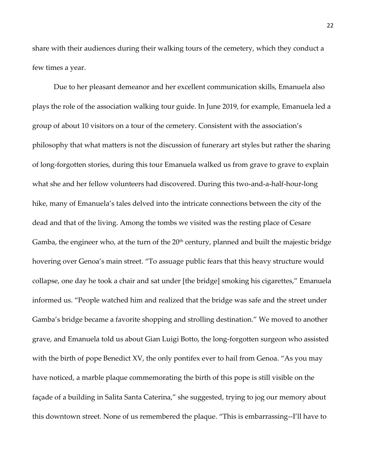share with their audiences during their walking tours of the cemetery, which they conduct a few times a year.

Due to her pleasant demeanor and her excellent communication skills, Emanuela also plays the role of the association walking tour guide. In June 2019, for example, Emanuela led a group of about 10 visitors on a tour of the cemetery. Consistent with the association's philosophy that what matters is not the discussion of funerary art styles but rather the sharing of long-forgotten stories, during this tour Emanuela walked us from grave to grave to explain what she and her fellow volunteers had discovered. During this two-and-a-half-hour-long hike, many of Emanuela's tales delved into the intricate connections between the city of the dead and that of the living. Among the tombs we visited was the resting place of Cesare Gamba, the engineer who, at the turn of the  $20<sup>th</sup>$  century, planned and built the majestic bridge hovering over Genoa's main street. "To assuage public fears that this heavy structure would collapse, one day he took a chair and sat under [the bridge] smoking his cigarettes," Emanuela informed us. "People watched him and realized that the bridge was safe and the street under Gamba's bridge became a favorite shopping and strolling destination." We moved to another grave, and Emanuela told us about Gian Luigi Botto, the long-forgotten surgeon who assisted with the birth of pope Benedict XV, the only pontifex ever to hail from Genoa. "As you may have noticed, a marble plaque commemorating the birth of this pope is still visible on the façade of a building in Salita Santa Caterina," she suggested, trying to jog our memory about this downtown street. None of us remembered the plaque. "This is embarrassing--I'll have to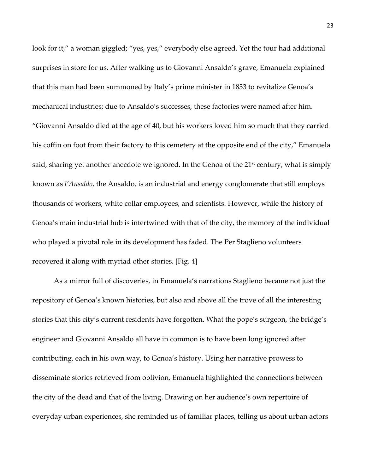look for it," a woman giggled; "yes, yes," everybody else agreed. Yet the tour had additional surprises in store for us. After walking us to Giovanni Ansaldo's grave, Emanuela explained that this man had been summoned by Italy's prime minister in 1853 to revitalize Genoa's mechanical industries; due to Ansaldo's successes, these factories were named after him. "Giovanni Ansaldo died at the age of 40, but his workers loved him so much that they carried his coffin on foot from their factory to this cemetery at the opposite end of the city," Emanuela said, sharing yet another anecdote we ignored. In the Genoa of the  $21<sup>st</sup>$  century, what is simply known as *l'Ansaldo*, the Ansaldo, is an industrial and energy conglomerate that still employs thousands of workers, white collar employees, and scientists. However, while the history of Genoa's main industrial hub is intertwined with that of the city, the memory of the individual who played a pivotal role in its development has faded. The Per Staglieno volunteers recovered it along with myriad other stories. [Fig. 4]

As a mirror full of discoveries, in Emanuela's narrations Staglieno became not just the repository of Genoa's known histories, but also and above all the trove of all the interesting stories that this city's current residents have forgotten. What the pope's surgeon, the bridge's engineer and Giovanni Ansaldo all have in common is to have been long ignored after contributing, each in his own way, to Genoa's history. Using her narrative prowess to disseminate stories retrieved from oblivion, Emanuela highlighted the connections between the city of the dead and that of the living. Drawing on her audience's own repertoire of everyday urban experiences, she reminded us of familiar places, telling us about urban actors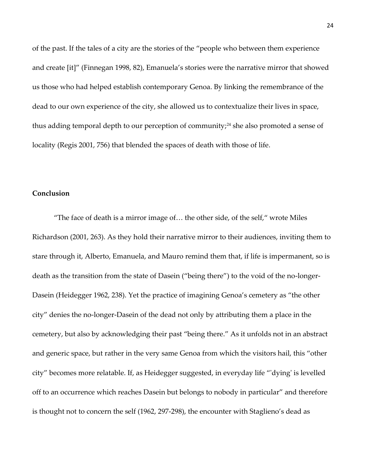of the past. If the tales of a city are the stories of the "people who between them experience and create [it]" (Finnegan 1998, 82), Emanuela's stories were the narrative mirror that showed us those who had helped establish contemporary Genoa. By linking the remembrance of the dead to our own experience of the city, she allowed us to contextualize their lives in space, thus adding temporal depth to our perception of community;<sup>24</sup> she also promoted a sense of locality (Regis 2001, 756) that blended the spaces of death with those of life.

#### **Conclusion**

"The face of death is a mirror image of… the other side, of the self," wrote Miles Richardson (2001, 263). As they hold their narrative mirror to their audiences, inviting them to stare through it, Alberto, Emanuela, and Mauro remind them that, if life is impermanent, so is death as the transition from the state of Dasein ("being there") to the void of the no-longer-Dasein (Heidegger 1962, 238). Yet the practice of imagining Genoa's cemetery as "the other city" denies the no-longer-Dasein of the dead not only by attributing them a place in the cemetery, but also by acknowledging their past "being there." As it unfolds not in an abstract and generic space, but rather in the very same Genoa from which the visitors hail, this "other city" becomes more relatable. If, as Heidegger suggested, in everyday life "'dying' is levelled off to an occurrence which reaches Dasein but belongs to nobody in particular" and therefore is thought not to concern the self (1962, 297-298), the encounter with Staglieno's dead as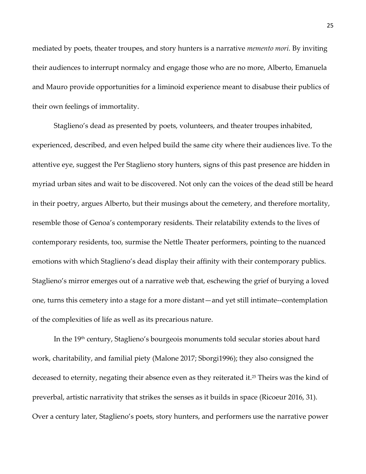mediated by poets, theater troupes, and story hunters is a narrative *memento mori.* By inviting their audiences to interrupt normalcy and engage those who are no more, Alberto, Emanuela and Mauro provide opportunities for a liminoid experience meant to disabuse their publics of their own feelings of immortality.

Staglieno's dead as presented by poets, volunteers, and theater troupes inhabited, experienced, described, and even helped build the same city where their audiences live. To the attentive eye, suggest the Per Staglieno story hunters, signs of this past presence are hidden in myriad urban sites and wait to be discovered. Not only can the voices of the dead still be heard in their poetry, argues Alberto, but their musings about the cemetery, and therefore mortality, resemble those of Genoa's contemporary residents. Their relatability extends to the lives of contemporary residents, too, surmise the Nettle Theater performers, pointing to the nuanced emotions with which Staglieno's dead display their affinity with their contemporary publics. Staglieno's mirror emerges out of a narrative web that, eschewing the grief of burying a loved one, turns this cemetery into a stage for a more distant—and yet still intimate--contemplation of the complexities of life as well as its precarious nature.

In the 19th century, Staglieno's bourgeois monuments told secular stories about hard work, charitability, and familial piety (Malone 2017; Sborgi1996); they also consigned the deceased to eternity, negating their absence even as they reiterated it.<sup>25</sup> Theirs was the kind of preverbal, artistic narrativity that strikes the senses as it builds in space (Ricoeur 2016, 31). Over a century later, Staglieno's poets, story hunters, and performers use the narrative power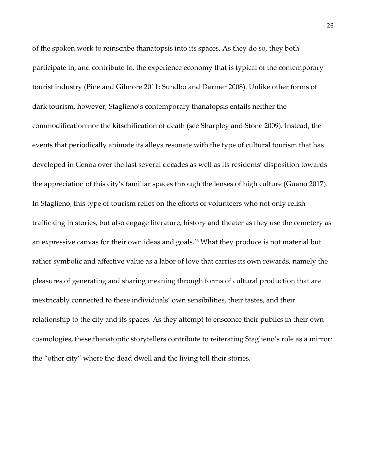of the spoken work to reinscribe thanatopsis into its spaces. As they do so, they both participate in, and contribute to, the experience economy that is typical of the contemporary tourist industry (Pine and Gilmore 2011; Sundbo and Darmer 2008). Unlike other forms of dark tourism, however, Staglieno's contemporary thanatopsis entails neither the commodification nor the kitschification of death (see Sharpley and Stone 2009). Instead, the events that periodically animate its alleys resonate with the type of cultural tourism that has developed in Genoa over the last several decades as well as its residents' disposition towards the appreciation of this city's familiar spaces through the lenses of high culture (Guano 2017). In Staglieno, this type of tourism relies on the efforts of volunteers who not only relish trafficking in stories, but also engage literature, history and theater as they use the cemetery as an expressive canvas for their own ideas and goals.<sup>26</sup> What they produce is not material but rather symbolic and affective value as a labor of love that carries its own rewards, namely the pleasures of generating and sharing meaning through forms of cultural production that are inextricably connected to these individuals' own sensibilities, their tastes, and their relationship to the city and its spaces. As they attempt to ensconce their publics in their own cosmologies, these thanatoptic storytellers contribute to reiterating Staglieno's role as a mirror: the "other city" where the dead dwell and the living tell their stories.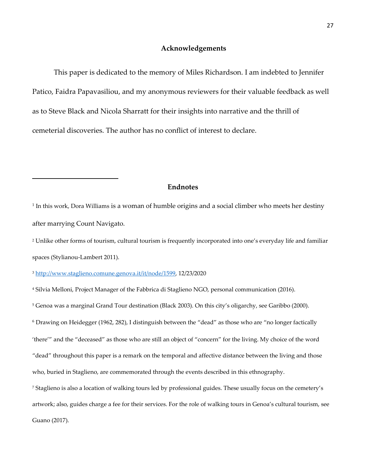#### **Acknowledgements**

This paper is dedicated to the memory of Miles Richardson. I am indebted to Jennifer Patico, Faidra Papavasiliou, and my anonymous reviewers for their valuable feedback as well as to Steve Black and Nicola Sharratt for their insights into narrative and the thrill of cemeterial discoveries. The author has no conflict of interest to declare.

#### **Endnotes**

 $^{\rm 1}$  In this work, Dora Williams is a woman of humble origins and a social climber who meets her destiny after marrying Count Navigato.

<sup>2</sup> Unlike other forms of tourism, cultural tourism is frequently incorporated into one's everyday life and familiar spaces (Stylianou-Lambert 2011).

<sup>3</sup> [http://www.staglieno.comune.genova.it/it/node/1599,](http://www.staglieno.comune.genova.it/it/node/1599) 12/23/2020

<sup>4</sup> Silvia Melloni, Project Manager of the Fabbrica di Staglieno NGO, personal communication (2016).

<sup>5</sup> Genoa was a marginal Grand Tour destination (Black 2003). On this city's oligarchy, see Garibbo (2000).

<sup>6</sup> Drawing on Heidegger (1962, 282), I distinguish between the "dead" as those who are "no longer factically

'there'" and the "deceased" as those who are still an object of "concern" for the living. My choice of the word

"dead" throughout this paper is a remark on the temporal and affective distance between the living and those

who, buried in Staglieno, are commemorated through the events described in this ethnography.

<sup>7</sup> Staglieno is also a location of walking tours led by professional guides. These usually focus on the cemetery's

artwork; also, guides charge a fee for their services. For the role of walking tours in Genoa's cultural tourism, see

Guano (2017).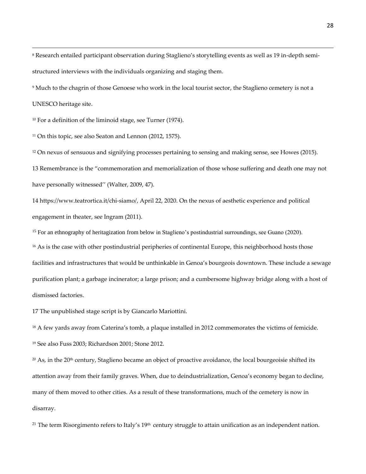<sup>8</sup> Research entailed participant observation during Staglieno's storytelling events as well as 19 in-depth semistructured interviews with the individuals organizing and staging them.

<sup>9</sup> Much to the chagrin of those Genoese who work in the local tourist sector, the Staglieno cemetery is not a

UNESCO heritage site.

<sup>10</sup> For a definition of the liminoid stage, see Turner (1974).

<sup>11</sup> On this topic, see also Seaton and Lennon (2012, 1575).

<sup>12</sup> On nexus of sensuous and signifying processes pertaining to sensing and making sense, see Howes (2015).

13 Remembrance is the "commemoration and memorialization of those whose suffering and death one may not have personally witnessed'' (Walter, 2009, 47).

14 [https://www.teatrortica.it/chi-siamo/,](https://www.teatrortica.it/chi-siamo/) April 22, 2020. On the nexus of aesthetic experience and political engagement in theater, see Ingram (2011).

<sup>15</sup> For an ethnography of heritagization from below in Staglieno's postindustrial surroundings, see Guano (2020).

<sup>16</sup> As is the case with other postindustrial peripheries of continental Europe, this neighborhood hosts those facilities and infrastructures that would be unthinkable in Genoa's bourgeois downtown. These include a sewage purification plant; a garbage incinerator; a large prison; and a cumbersome highway bridge along with a host of dismissed factories.

17 The unpublished stage script is by Giancarlo Mariottini.

<sup>18</sup> A few yards away from Caterina's tomb, a plaque installed in 2012 commemorates the victims of femicide.

<sup>19</sup> See also Fuss 2003; Richardson 2001; Stone 2012.

 $20$  As, in the 20<sup>th</sup> century, Staglieno became an object of proactive avoidance, the local bourgeoisie shifted its attention away from their family graves. When, due to deindustrialization, Genoa's economy began to decline, many of them moved to other cities. As a result of these transformations, much of the cemetery is now in disarray.

<sup>21</sup> The term Risorgimento refers to Italy's  $19<sup>th</sup>$  century struggle to attain unification as an independent nation.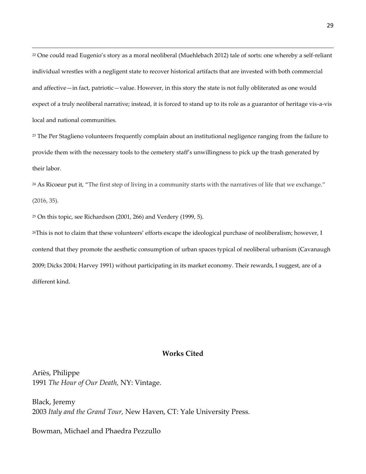<sup>22</sup> One could read Eugenio's story as a moral neoliberal (Muehlebach 2012) tale of sorts: one whereby a self-reliant individual wrestles with a negligent state to recover historical artifacts that are invested with both commercial and affective—in fact, patriotic—value. However, in this story the state is not fully obliterated as one would expect of a truly neoliberal narrative; instead, it is forced to stand up to its role as a guarantor of heritage vis-a-vis local and national communities.

<sup>23</sup> The Per Staglieno volunteers frequently complain about an institutional negligence ranging from the failure to provide them with the necessary tools to the cemetery staff's unwillingness to pick up the trash generated by their labor.

<sup>24</sup> As Ricoeur put it, "The first step of living in a community starts with the narratives of life that we exchange." (2016, 35).

<sup>25</sup> On this topic, see Richardson (2001, 266) and Verdery (1999, 5).

<sup>26</sup>This is not to claim that these volunteers' efforts escape the ideological purchase of neoliberalism; however, I contend that they promote the aesthetic consumption of urban spaces typical of neoliberal urbanism (Cavanaugh 2009; Dicks 2004; Harvey 1991) without participating in its market economy. Their rewards, I suggest, are of a different kind.

#### **Works Cited**

Ariѐs, Philippe 1991 *The Hour of Our Death,* NY: Vintage.

Black, Jeremy 2003 *Italy and the Grand Tour,* New Haven, CT: Yale University Press.

Bowman, Michael and Phaedra Pezzullo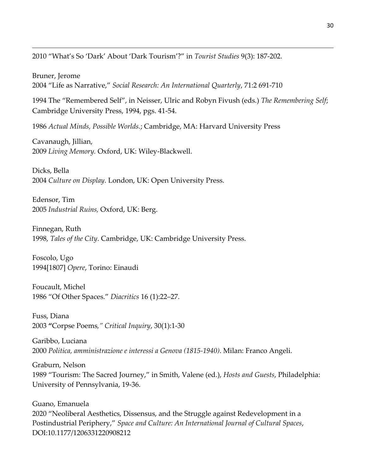2010 "What's So 'Dark' About 'Dark Tourism'?" in *Tourist Studies* 9(3): 187-202.

Bruner, Jerome 2004 "Life as Narrative," *Social Research: An International Quarterly*, 71:2 691-710

1994 The "Remembered Self", in Neisser, Ulric and Robyn Fivush (eds.) *The Remembering Self*; Cambridge University Press, 1994, pgs. 41-54.

1986 *Actual Minds, Possible Worlds.*; Cambridge, MA: Harvard University Press

Cavanaugh, Jillian, 2009 *Living Memory.* Oxford, UK: Wiley-Blackwell.

Dicks, Bella 2004 *Culture on Display.* London, UK: Open University Press.

Edensor, Tim 2005 *Industrial Ruins,* Oxford, UK: Berg.

Finnegan, Ruth 1998, *Tales of the City*. Cambridge, UK: Cambridge University Press.

Foscolo, Ugo 1994[1807] *Opere*, Torino: Einaudi

Foucault, Michel 1986 "Of Other Spaces." *Diacritics* 16 (1):22–27.

Fuss, Diana 2003 **"**Corpse Poems*," Critical Inquiry*, 30(1):1-30

Garibbo, Luciana 2000 *Politica, amministrazione e interessi a Genova (1815-1940)*. Milan: Franco Angeli.

Graburn, Nelson 1989 "Tourism: The Sacred Journey," in Smith, Valene (ed.), *Hosts and Guests*, Philadelphia: University of Pennsylvania, 19-36.

Guano, Emanuela 2020 "Neoliberal Aesthetics, Dissensus, and the Struggle against Redevelopment in a Postindustrial Periphery," *Space and Culture: An International Journal of Cultural Spaces*, DOI:10.1177/1206331220908212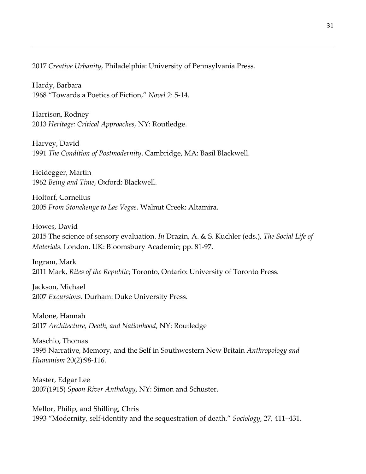2017 *Creative Urbanity*, Philadelphia: University of Pennsylvania Press.

Hardy, Barbara 1968 "Towards a Poetics of Fiction," *Novel* 2: 5-14.

Harrison, Rodney 2013 *Heritage: Critical Approaches*, NY: Routledge.

Harvey, David 1991 *The Condition of Postmodernity*. Cambridge, MA: Basil Blackwell.

Heidegger, Martin 1962 *Being and Time*, Oxford: Blackwell.

Holtorf, Cornelius 2005 *From Stonehenge to Las Vegas.* Walnut Creek: Altamira.

Howes, David 2015 The science of sensory evaluation. *In* Drazin, A. & S. Kuchler (eds.), *The Social Life of Materials.* London, UK: Bloomsbury Academic; pp. 81-97.

Ingram, Mark 2011 Mark, *Rites of the Republic*; Toronto, Ontario: University of Toronto Press.

Jackson, Michael 2007 *Excursions*. Durham: Duke University Press.

Malone, Hannah 2017 *Architecture, Death, and Nationhood*, NY: Routledge

Maschio, Thomas 1995 Narrative, Memory, and the Self in Southwestern New Britain *Anthropology and Humanism* 20(2):98-116.

Master, Edgar Lee 2007(1915) *Spoon River Anthology*, NY: Simon and Schuster.

Mellor, Philip, and Shilling, Chris 1993 "Modernity, self-identity and the sequestration of death." *Sociology*, 27, 411–431.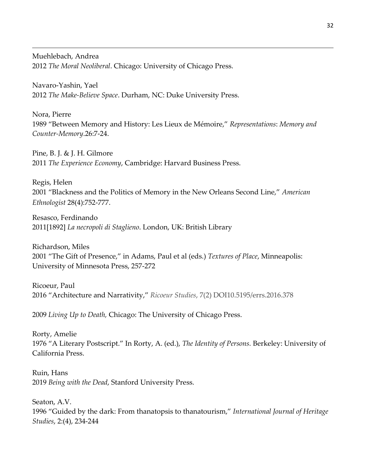Muehlebach, Andrea 2012 *The Moral Neoliberal*. Chicago: University of Chicago Press.

Navaro-Yashin, Yael 2012 *The Make-Believe Space*. Durham, NC: Duke University Press.

Nora, Pierre 1989 "Between Memory and History: Les Lieux de Mémoire," *Representations*: *Memory and Counter-Memory*.26:7-24.

Pine, B. J. & J. H. Gilmore 2011 *The Experience Economy*, Cambridge: Harvard Business Press.

Regis, Helen 2001 "Blackness and the Politics of Memory in the New Orleans Second Line," *American Ethnologist* 28(4):752-777.

Resasco, Ferdinando 2011[1892] *La necropoli di Staglieno*. London, UK: British Library

Richardson, Miles 2001 "The Gift of Presence," in Adams, Paul et al (eds.) *Textures of Place*, Minneapolis: University of Minnesota Press, 257-272

Ricoeur, Paul 2016 "Architecture and Narrativity," *Ricoeur Studies*, 7(2) DOI10.5195/errs.2016.378

2009 *Living Up to Death,* Chicago: The University of Chicago Press.

Rorty, Amelie 1976 "A Literary Postscript." In Rorty, A. (ed.), *The Identity of Persons.* Berkeley: University of California Press.

Ruin, Hans 2019 *Being with the Dead*, Stanford University Press.

Seaton, A.V. 1996 "Guided by the dark: From thanatopsis to thanatourism," *International Journal of Heritage Studies*, 2:(4), 234-244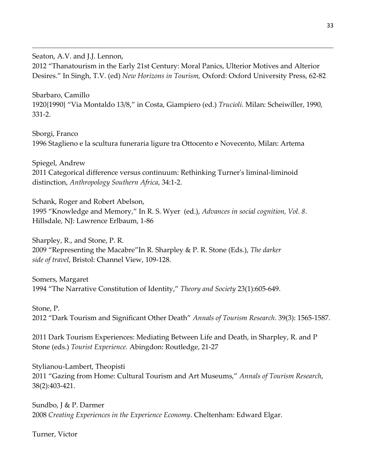Seaton, A.V. and J.J. Lennon, 2012 "Thanatourism in the Early 21st Century: Moral Panics, Ulterior Motives and Alterior Desires." In Singh, T.V. (ed) *New Horizons in Tourism,* Oxford: Oxford University Press, 62-82

Sbarbaro, Camillo 1920{1990} "Via Montaldo 13/8," in Costa, Giampiero (ed.) *Trucioli.* Milan: Scheiwiller, 1990, 331-2.

Sborgi, Franco 1996 Staglieno e la scultura funeraria ligure tra Ottocento e Novecento, Milan: Artema

Spiegel, Andrew 2011 Categorical difference versus continuum: Rethinking Turner's liminal-liminoid distinction, *Anthropology Southern Africa*, 34:1-2.

Schank, Roger and Robert Abelson, 1995 "Knowledge and Memory," In R. S. Wyer (ed.), *Advances in social cognition, Vol. 8*. Hillsdale, NJ: Lawrence Erlbaum, 1-86

Sharpley, R., and Stone, P. R. 2009 "Representing the Macabre"In R. Sharpley & P. R. Stone (Eds.), *The darker side of travel*, Bristol: Channel View, 109-128.

Somers, Margaret 1994 "The Narrative Constitution of Identity," *Theory and Society* 23(1):605-649.

Stone, P. 2012 "Dark Tourism and Significant Other Death" *Annals of Tourism Research*. 39(3): 1565-1587.

2011 Dark Tourism Experiences: Mediating Between Life and Death, in Sharpley, R. and P Stone (eds.) *Tourist Experience.* Abingdon: Routledge, 21-27

Stylianou-Lambert, Theopisti 2011 "Gazing from Home: Cultural Tourism and Art Museums," *Annals of Tourism Research*, 38(2):403-421.

Sundbo, J & P. Darmer 2008 *Creating Experiences in the Experience Economy*. Cheltenham: Edward Elgar.

Turner, Victor